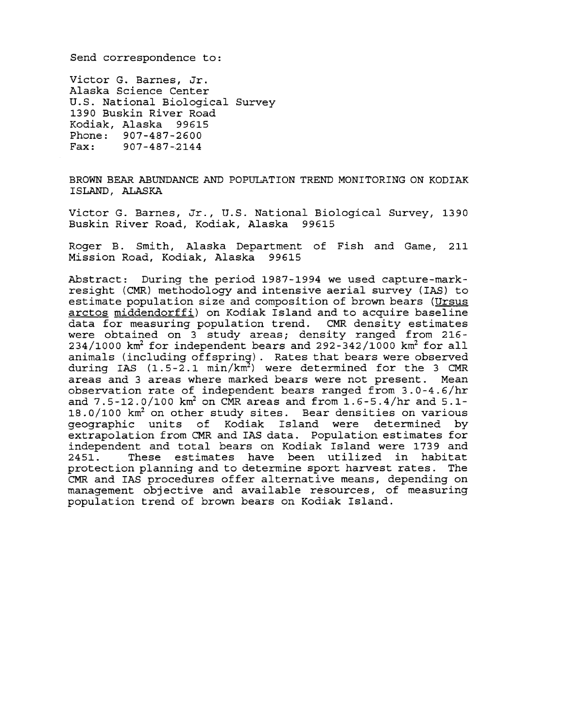Send correspondence to:

Victor G. Barnes, Jr. Alaska Science Center U.S. National Biological Survey 1390 Buskin River Road Kodiak, Alaska 99615 Phone: 907-487-2600 Fax: 907-487-2144

BROWN BEAR ABUNDANCE AND POPULATION TREND MONITORING ON KODIAK ISLAND, ALASKA

Victor G. Barnes, Jr., U.S. National Biological Survey, 1390 Buskin River Road, Kodiak, Alaska 99615

Roger B. Smith, Alaska Department of Fish and Game, 211 Mission Road, Kodiak, Alaska 99615

Abstract: During the period 1987-1994 we used capture-markresight (CMR) methodology and intensive aerial survey (IAS) to estimate population size and composition of brown bears (Ursus arctos middendorffi) on Kodiak Island and to acquire baseline data for measuring population trend. CMR density estimates were obtained on 3 study areas; density ranged from 216  $234/1000$  km<sup>2</sup> for independent bears and  $292-342/1000$  km<sup>2</sup> for all animals (including offspring). Rates that bears were observed during IAS  $(1.5-2.1 \text{ min}/\text{km}^2)$  were determined for the 3 CMR areas and 3 areas where marked bears were not present. Mean observation rate of independent bears ranged from 3.0-4.6/hr and  $7.5 - 12.0 / 100$  km<sup>2</sup> on CMR areas and from  $1.6 - 5.4 / hr$  and  $5.1 -$ 18.0/100 km2 on other study sites. Bear densities on various geographic units of Kodiak Island were determined by extrapolation from CMR and IAS data. Population estimates for independent and total bears on Kodiak Island were 1739 and These estimates have been utilized in habitat protection planning and to determine sport harvest rates. The CMR and IAS procedures offer alternative means, depending on management objective and available resources, of measuring population trend of brown bears on Kodiak Island.